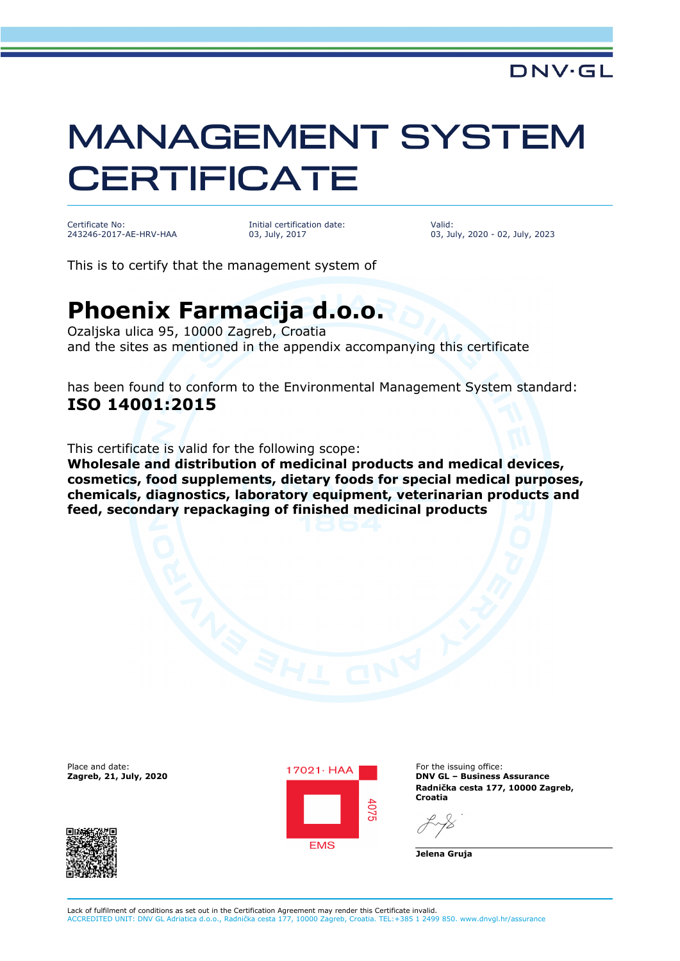## MANAGEMENT SYSTEM **CERTIFICATE**

Certificate No: 243246-2017-AE-HRV-HAA Initial certification date: 03, July, 2017

Valid: 03, July, 2020 - 02, July, 2023

This is to certify that the management system of

## **Phoenix Farmacija d.o.o.**

Ozaljska ulica 95, 10000 Zagreb, Croatia and the sites as mentioned in the appendix accompanying this certificate

has been found to conform to the Environmental Management System standard: **ISO 14001:2015**

This certificate is valid for the following scope:

**Wholesale and distribution of medicinal products and medical devices, cosmetics, food supplements, dietary foods for special medical purposes, chemicals, diagnostics, laboratory equipment, veterinarian products and feed, secondary repackaging of finished medicinal products**





**DNV GL – Business Assurance Radnička cesta 177, 10000 Zagreb, Croatia**

**Jelena Gruja**